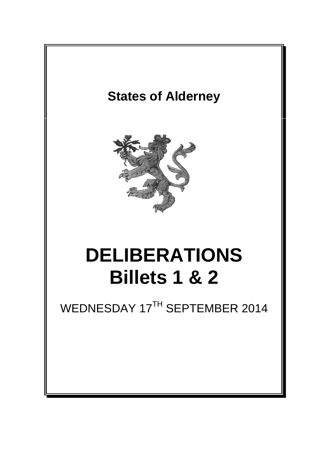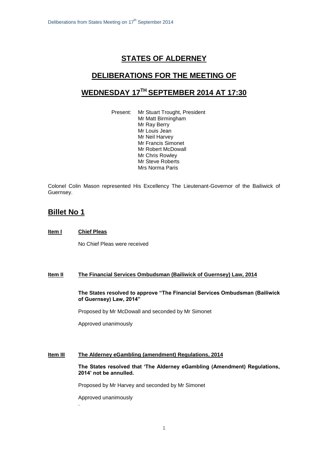# **STATES OF ALDERNEY**

## **DELIBERATIONS FOR THE MEETING OF**

# **WEDNESDAY 17 TH SEPTEMBER 2014 AT 17:30**

Present: Mr Stuart Trought, President Mr Matt Birmingham Mr Ray Berry Mr Louis Jean Mr Neil Harvey Mr Francis Simonet Mr Robert McDowall Mr Chris Rowley Mr Steve Roberts Mrs Norma Paris

Colonel Colin Mason represented His Excellency The Lieutenant-Governor of the Bailiwick of Guernsey.

## **Billet No 1**

### **Item I Chief Pleas**

No Chief Pleas were received

### **Item II The Financial Services Ombudsman (Bailiwick of Guernsey) Law, 2014**

**The States resolved to approve "The Financial Services Ombudsman (Bailiwick of Guernsey) Law, 2014"**

Proposed by Mr McDowall and seconded by Mr Simonet

Approved unanimously

### **Item III The Alderney eGambling (amendment) Regulations, 2014**

**The States resolved that 'The Alderney eGambling (Amendment) Regulations, 2014' not be annulled.**

Proposed by Mr Harvey and seconded by Mr Simonet

Approved unanimously

.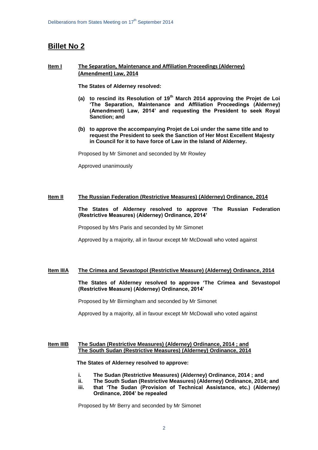# **Billet No 2**

### **Item I The Separation, Maintenance and Affiliation Proceedings (Alderney) (Amendment) Law, 2014**

**The States of Alderney resolved:**

- **(a) to rescind its Resolution of 19th March 2014 approving the Projet de Loi 'The Separation, Maintenance and Affiliation Proceedings (Alderney) (Amendment) Law, 2014' and requesting the President to seek Royal Sanction; and**
- **(b) to approve the accompanying Projet de Loi under the same title and to request the President to seek the Sanction of Her Most Excellent Majesty in Council for it to have force of Law in the Island of Alderney.**

Proposed by Mr Simonet and seconded by Mr Rowley

Approved unanimously

#### **Item II The Russian Federation (Restrictive Measures) (Alderney) Ordinance, 2014**

#### **The States of Alderney resolved to approve** '**The Russian Federation (Restrictive Measures) (Alderney) Ordinance, 2014'**

Proposed by Mrs Paris and seconded by Mr Simonet

Approved by a majority, all in favour except Mr McDowall who voted against

#### **Item IIIA The Crimea and Sevastopol (Restrictive Measure) (Alderney) Ordinance, 2014**

**The States of Alderney resolved to approve 'The Crimea and Sevastopol (Restrictive Measure) (Alderney) Ordinance, 2014'**

Proposed by Mr Birmingham and seconded by Mr Simonet

Approved by a majority, all in favour except Mr McDowall who voted against

#### **Item IIIB The Sudan (Restrictive Measures) (Alderney) Ordinance, 2014 ; and The South Sudan (Restrictive Measures) (Alderney) Ordinance, 2014**

**The States of Alderney resolved to approve:**

- **i. The Sudan (Restrictive Measures) (Alderney) Ordinance, 2014 ; and**
- **ii. The South Sudan (Restrictive Measures) (Alderney) Ordinance, 2014; and**
- **iii. that 'The Sudan (Provision of Technical Assistance, etc.) (Alderney) Ordinance, 2004' be repealed**

Proposed by Mr Berry and seconded by Mr Simonet